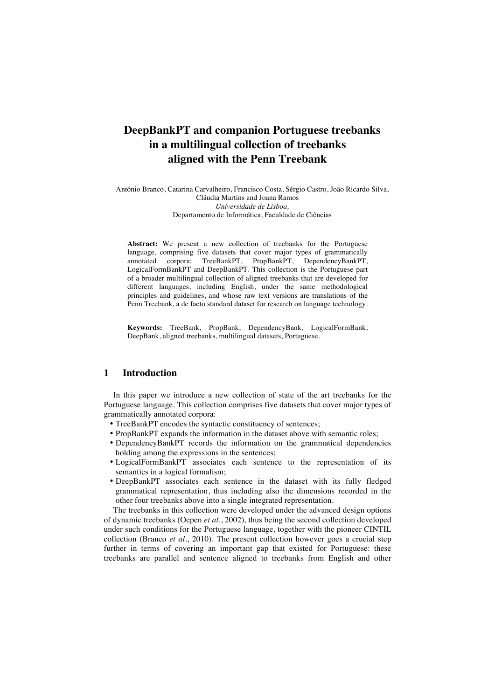# **DeepBankPT and companion Portuguese treebanks in a multilingual collection of treebanks aligned with the Penn Treebank**

António Branco, Catarina Carvalheiro, Francisco Costa, Sérgio Castro, João Ricardo Silva, Cláudia Martins and Joana Ramos *Universidade de Lisboa,* Departamento de Informática, Faculdade de Ciências

**Abstract:** We present a new collection of treebanks for the Portuguese language, comprising five datasets that cover major types of grammatically annotated corpora: TreeBankPT, PropBankPT, DependencyBankPT, LogicalFormBankPT and DeepBankPT. This collection is the Portuguese part of a broader multilingual collection of aligned treebanks that are developed for different languages, including English, under the same methodological principles and guidelines, and whose raw text versions are translations of the Penn Treebank, a de facto standard dataset for research on language technology.

**Keywords:** TreeBank, PropBank, DependencyBank, LogicalFormBank, DeepBank, aligned treebanks, multilingual datasets, Portuguese.

## **1 Introduction**

In this paper we introduce a new collection of state of the art treebanks for the Portuguese language. This collection comprises five datasets that cover major types of grammatically annotated corpora:

- TreeBankPT encodes the syntactic constituency of sentences;
- PropBankPT expands the information in the dataset above with semantic roles;
- DependencyBankPT records the information on the grammatical dependencies holding among the expressions in the sentences;
- LogicalFormBankPT associates each sentence to the representation of its semantics in a logical formalism;
- DeepBankPT associates each sentence in the dataset with its fully fledged grammatical representation, thus including also the dimensions recorded in the other four treebanks above into a single integrated representation.

The treebanks in this collection were developed under the advanced design options of dynamic treebanks (Oepen *et al.*, 2002), thus being the second collection developed under such conditions for the Portuguese language, together with the pioneer CINTIL collection (Branco *et al.*, 2010). The present collection however goes a crucial step further in terms of covering an important gap that existed for Portuguese: these treebanks are parallel and sentence aligned to treebanks from English and other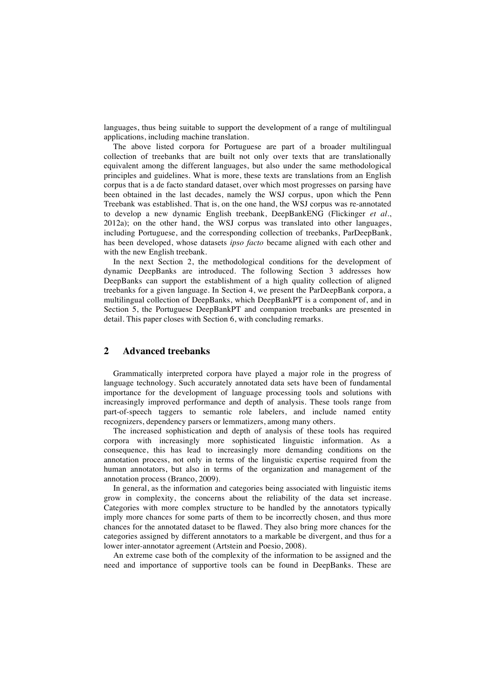languages, thus being suitable to support the development of a range of multilingual applications, including machine translation.

The above listed corpora for Portuguese are part of a broader multilingual collection of treebanks that are built not only over texts that are translationally equivalent among the different languages, but also under the same methodological principles and guidelines. What is more, these texts are translations from an English corpus that is a de facto standard dataset, over which most progresses on parsing have been obtained in the last decades, namely the WSJ corpus, upon which the Penn Treebank was established. That is, on the one hand, the WSJ corpus was re-annotated to develop a new dynamic English treebank, DeepBankENG (Flickinger *et al.*, 2012a); on the other hand, the WSJ corpus was translated into other languages, including Portuguese, and the corresponding collection of treebanks, ParDeepBank, has been developed, whose datasets *ipso facto* became aligned with each other and with the new English treebank.

In the next Section 2, the methodological conditions for the development of dynamic DeepBanks are introduced. The following Section 3 addresses how DeepBanks can support the establishment of a high quality collection of aligned treebanks for a given language. In Section 4, we present the ParDeepBank corpora, a multilingual collection of DeepBanks, which DeepBankPT is a component of, and in Section 5, the Portuguese DeepBankPT and companion treebanks are presented in detail. This paper closes with Section 6, with concluding remarks.

## **2 Advanced treebanks**

Grammatically interpreted corpora have played a major role in the progress of language technology. Such accurately annotated data sets have been of fundamental importance for the development of language processing tools and solutions with increasingly improved performance and depth of analysis. These tools range from part-of-speech taggers to semantic role labelers, and include named entity recognizers, dependency parsers or lemmatizers, among many others.

The increased sophistication and depth of analysis of these tools has required corpora with increasingly more sophisticated linguistic information. As a consequence, this has lead to increasingly more demanding conditions on the annotation process, not only in terms of the linguistic expertise required from the human annotators, but also in terms of the organization and management of the annotation process (Branco, 2009).

In general, as the information and categories being associated with linguistic items grow in complexity, the concerns about the reliability of the data set increase. Categories with more complex structure to be handled by the annotators typically imply more chances for some parts of them to be incorrectly chosen, and thus more chances for the annotated dataset to be flawed. They also bring more chances for the categories assigned by different annotators to a markable be divergent, and thus for a lower inter-annotator agreement (Artstein and Poesio, 2008).

An extreme case both of the complexity of the information to be assigned and the need and importance of supportive tools can be found in DeepBanks. These are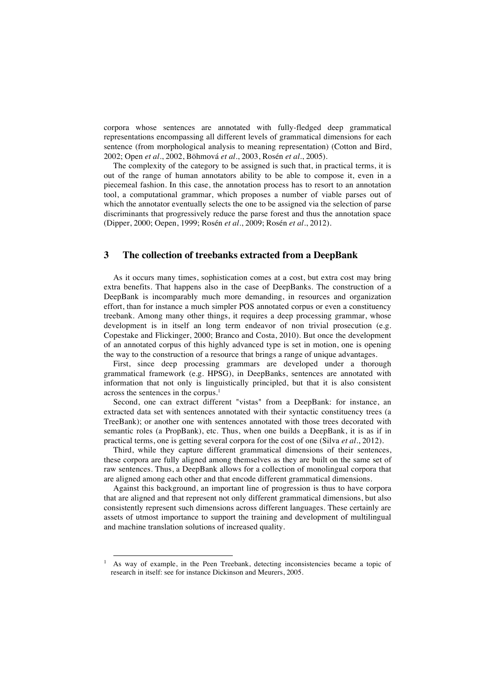corpora whose sentences are annotated with fully-fledged deep grammatical representations encompassing all different levels of grammatical dimensions for each sentence (from morphological analysis to meaning representation) (Cotton and Bird, 2002; Open *et al.*, 2002, Böhmová *et al.*, 2003, Rosén *et al.*, 2005).

The complexity of the category to be assigned is such that, in practical terms, it is out of the range of human annotators ability to be able to compose it, even in a piecemeal fashion. In this case, the annotation process has to resort to an annotation tool, a computational grammar, which proposes a number of viable parses out of which the annotator eventually selects the one to be assigned via the selection of parse discriminants that progressively reduce the parse forest and thus the annotation space (Dipper, 2000; Oepen, 1999; Rosén *et al.*, 2009; Rosén *et al.*, 2012).

## **3 The collection of treebanks extracted from a DeepBank**

As it occurs many times, sophistication comes at a cost, but extra cost may bring extra benefits. That happens also in the case of DeepBanks. The construction of a DeepBank is incomparably much more demanding, in resources and organization effort, than for instance a much simpler POS annotated corpus or even a constituency treebank. Among many other things, it requires a deep processing grammar, whose development is in itself an long term endeavor of non trivial prosecution (e.g. Copestake and Flickinger, 2000; Branco and Costa, 2010). But once the development of an annotated corpus of this highly advanced type is set in motion, one is opening the way to the construction of a resource that brings a range of unique advantages.

First, since deep processing grammars are developed under a thorough grammatical framework (e.g. HPSG), in DeepBanks, sentences are annotated with information that not only is linguistically principled, but that it is also consistent across the sentences in the corpus.1

Second, one can extract different "vistas" from a DeepBank: for instance, an extracted data set with sentences annotated with their syntactic constituency trees (a TreeBank); or another one with sentences annotated with those trees decorated with semantic roles (a PropBank), etc. Thus, when one builds a DeepBank, it is as if in practical terms, one is getting several corpora for the cost of one (Silva *et al.*, 2012).

Third, while they capture different grammatical dimensions of their sentences, these corpora are fully aligned among themselves as they are built on the same set of raw sentences. Thus, a DeepBank allows for a collection of monolingual corpora that are aligned among each other and that encode different grammatical dimensions.

Against this background, an important line of progression is thus to have corpora that are aligned and that represent not only different grammatical dimensions, but also consistently represent such dimensions across different languages. These certainly are assets of utmost importance to support the training and development of multilingual and machine translation solutions of increased quality.

<sup>&</sup>lt;sup>1</sup> As way of example, in the Peen Treebank, detecting inconsistencies became a topic of research in itself: see for instance Dickinson and Meurers, 2005.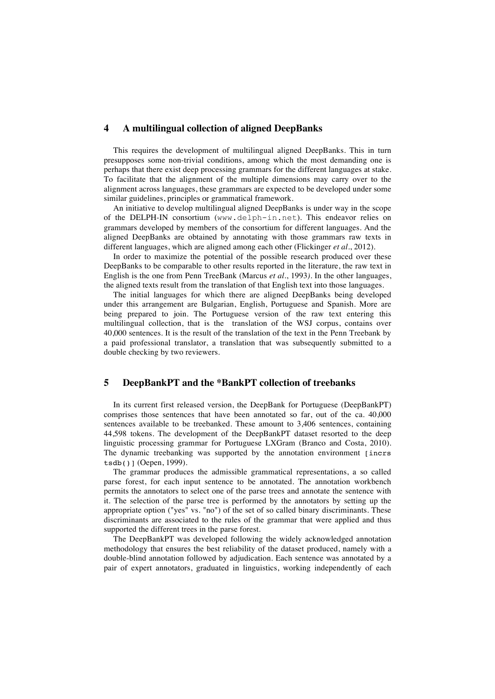#### **4 A multilingual collection of aligned DeepBanks**

This requires the development of multilingual aligned DeepBanks. This in turn presupposes some non-trivial conditions, among which the most demanding one is perhaps that there exist deep processing grammars for the different languages at stake. To facilitate that the alignment of the multiple dimensions may carry over to the alignment across languages, these grammars are expected to be developed under some similar guidelines, principles or grammatical framework.

An initiative to develop multilingual aligned DeepBanks is under way in the scope of the DELPH-IN consortium (www.delph-in.net). This endeavor relies on grammars developed by members of the consortium for different languages. And the aligned DeepBanks are obtained by annotating with those grammars raw texts in different languages, which are aligned among each other (Flickinger *et al.*, 2012).

In order to maximize the potential of the possible research produced over these DeepBanks to be comparable to other results reported in the literature, the raw text in English is the one from Penn TreeBank (Marcus *et al.*, 1993*).* In the other languages, the aligned texts result from the translation of that English text into those languages.

The initial languages for which there are aligned DeepBanks being developed under this arrangement are Bulgarian, English, Portuguese and Spanish. More are being prepared to join. The Portuguese version of the raw text entering this multilingual collection, that is the translation of the WSJ corpus, contains over 40,000 sentences. It is the result of the translation of the text in the Penn Treebank by a paid professional translator, a translation that was subsequently submitted to a double checking by two reviewers.

#### **5 DeepBankPT and the \*BankPT collection of treebanks**

In its current first released version, the DeepBank for Portuguese (DeepBankPT) comprises those sentences that have been annotated so far, out of the ca. 40,000 sentences available to be treebanked. These amount to 3,406 sentences, containing 44,598 tokens. The development of the DeepBankPT dataset resorted to the deep linguistic processing grammar for Portuguese LXGram (Branco and Costa, 2010). The dynamic treebanking was supported by the annotation environment [incrs tsdb()] (Oepen, 1999).

The grammar produces the admissible grammatical representations, a so called parse forest, for each input sentence to be annotated. The annotation workbench permits the annotators to select one of the parse trees and annotate the sentence with it. The selection of the parse tree is performed by the annotators by setting up the appropriate option ("yes" vs. "no") of the set of so called binary discriminants. These discriminants are associated to the rules of the grammar that were applied and thus supported the different trees in the parse forest.

The DeepBankPT was developed following the widely acknowledged annotation methodology that ensures the best reliability of the dataset produced, namely with a double-blind annotation followed by adjudication. Each sentence was annotated by a pair of expert annotators, graduated in linguistics, working independently of each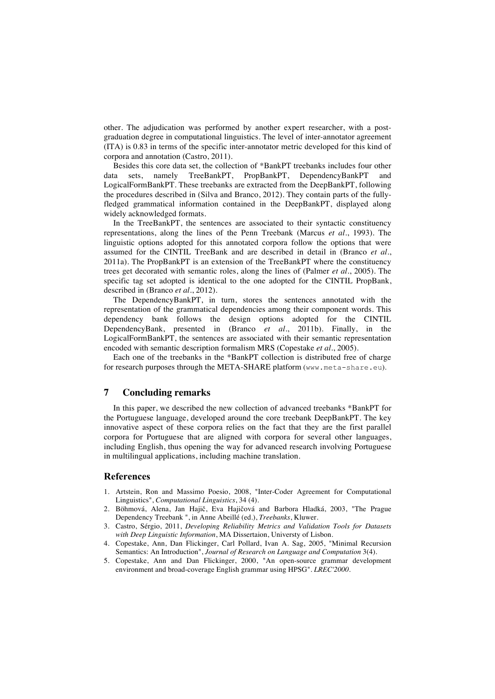other. The adjudication was performed by another expert researcher, with a postgraduation degree in computational linguistics. The level of inter-annotator agreement (ITA) is 0.83 in terms of the specific inter-annotator metric developed for this kind of corpora and annotation (Castro, 2011).

Besides this core data set, the collection of \*BankPT treebanks includes four other data sets, namely TreeBankPT, PropBankPT, DependencyBankPT and LogicalFormBankPT. These treebanks are extracted from the DeepBankPT, following the procedures described in (Silva and Branco, 2012). They contain parts of the fullyfledged grammatical information contained in the DeepBankPT, displayed along widely acknowledged formats.

In the TreeBankPT, the sentences are associated to their syntactic constituency representations, along the lines of the Penn Treebank (Marcus *et al.*, 1993). The linguistic options adopted for this annotated corpora follow the options that were assumed for the CINTIL TreeBank and are described in detail in (Branco *et al.*, 2011a). The PropBankPT is an extension of the TreeBankPT where the constituency trees get decorated with semantic roles, along the lines of (Palmer *et al.*, 2005). The specific tag set adopted is identical to the one adopted for the CINTIL PropBank, described in (Branco *et al.*, 2012).

The DependencyBankPT, in turn, stores the sentences annotated with the representation of the grammatical dependencies among their component words. This dependency bank follows the design options adopted for the CINTIL DependencyBank, presented in (Branco *et al.*, 2011b). Finally, in the LogicalFormBankPT, the sentences are associated with their semantic representation encoded with semantic description formalism MRS (Copestake *et al.*, 2005).

Each one of the treebanks in the \*BankPT collection is distributed free of charge for research purposes through the META-SHARE platform (www.meta-share.eu).

### **7 Concluding remarks**

In this paper, we described the new collection of advanced treebanks \*BankPT for the Portuguese language, developed around the core treebank DeepBankPT. The key innovative aspect of these corpora relies on the fact that they are the first parallel corpora for Portuguese that are aligned with corpora for several other languages, including English, thus opening the way for advanced research involving Portuguese in multilingual applications, including machine translation.

#### **References**

- 1. Artstein, Ron and Massimo Poesio, 2008, "Inter-Coder Agreement for Computational Linguistics", *Computational Linguistics*, 34 (4).
- 2. Böhmová, Alena, Jan Hajič, Eva Hajičová and Barbora Hladká, 2003, "The Prague Dependency Treebank ", in Anne Abeillé (ed.), *Treebanks*, Kluwer.
- 3. Castro, Sérgio, 2011, *Developing Reliability Metrics and Validation Tools for Datasets with Deep Linguistic Information*, MA Dissertaion, Universty of Lisbon.
- 4. Copestake, Ann, Dan Flickinger, Carl Pollard, Ivan A. Sag, 2005, "Minimal Recursion Semantics: An Introduction", *Journal of Research on Language and Computation* 3(4).
- 5. Copestake, Ann and Dan Flickinger, 2000, "An open-source grammar development environment and broad-coverage English grammar using HPSG". *LREC'2000*.